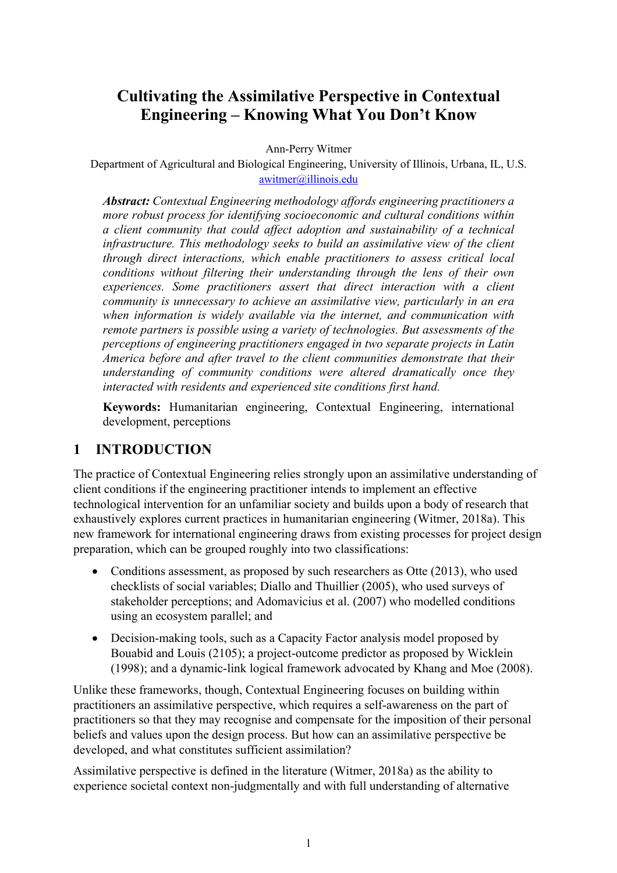# **Cultivating the Assimilative Perspective in Contextual Engineering – Knowing What You Don't Know**

Ann-Perry Witmer

Department of Agricultural and Biological Engineering, University of Illinois, Urbana, IL, U.S. awitmer@illinois.edu

*Abstract: Contextual Engineering methodology affords engineering practitioners a more robust process for identifying socioeconomic and cultural conditions within a client community that could affect adoption and sustainability of a technical infrastructure. This methodology seeks to build an assimilative view of the client through direct interactions, which enable practitioners to assess critical local conditions without filtering their understanding through the lens of their own experiences. Some practitioners assert that direct interaction with a client community is unnecessary to achieve an assimilative view, particularly in an era when information is widely available via the internet, and communication with remote partners is possible using a variety of technologies. But assessments of the perceptions of engineering practitioners engaged in two separate projects in Latin America before and after travel to the client communities demonstrate that their understanding of community conditions were altered dramatically once they interacted with residents and experienced site conditions first hand.*

**Keywords:** Humanitarian engineering, Contextual Engineering, international development, perceptions

# **1 INTRODUCTION**

The practice of Contextual Engineering relies strongly upon an assimilative understanding of client conditions if the engineering practitioner intends to implement an effective technological intervention for an unfamiliar society and builds upon a body of research that exhaustively explores current practices in humanitarian engineering (Witmer, 2018a). This new framework for international engineering draws from existing processes for project design preparation, which can be grouped roughly into two classifications:

- Conditions assessment, as proposed by such researchers as Otte (2013), who used checklists of social variables; Diallo and Thuillier (2005), who used surveys of stakeholder perceptions; and Adomavicius et al. (2007) who modelled conditions using an ecosystem parallel; and
- Decision-making tools, such as a Capacity Factor analysis model proposed by Bouabid and Louis (2105); a project-outcome predictor as proposed by Wicklein (1998); and a dynamic-link logical framework advocated by Khang and Moe (2008).

Unlike these frameworks, though, Contextual Engineering focuses on building within practitioners an assimilative perspective, which requires a self-awareness on the part of practitioners so that they may recognise and compensate for the imposition of their personal beliefs and values upon the design process. But how can an assimilative perspective be developed, and what constitutes sufficient assimilation?

Assimilative perspective is defined in the literature (Witmer, 2018a) as the ability to experience societal context non-judgmentally and with full understanding of alternative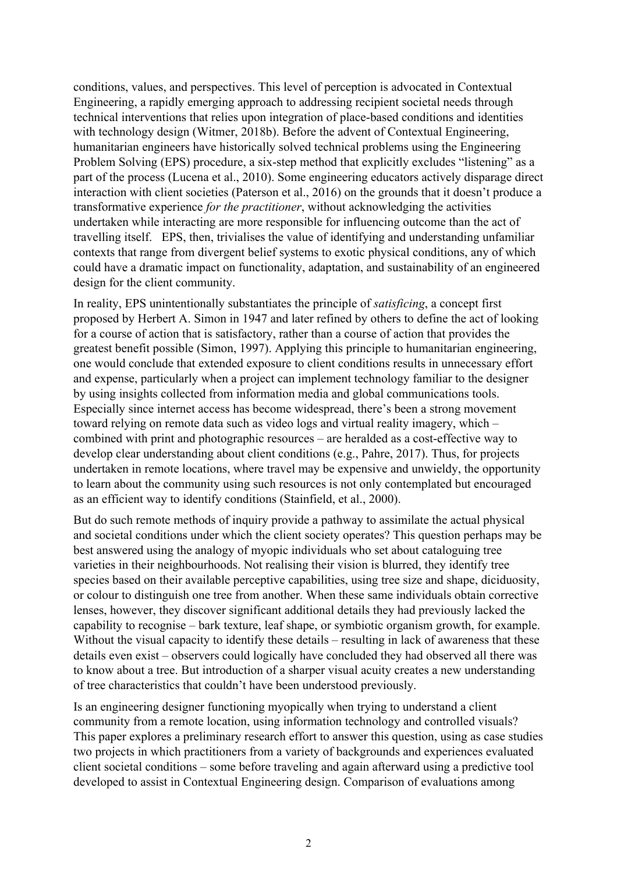conditions, values, and perspectives. This level of perception is advocated in Contextual Engineering, a rapidly emerging approach to addressing recipient societal needs through technical interventions that relies upon integration of place-based conditions and identities with technology design (Witmer, 2018b). Before the advent of Contextual Engineering, humanitarian engineers have historically solved technical problems using the Engineering Problem Solving (EPS) procedure, a six-step method that explicitly excludes "listening" as a part of the process (Lucena et al., 2010). Some engineering educators actively disparage direct interaction with client societies (Paterson et al., 2016) on the grounds that it doesn't produce a transformative experience *for the practitioner*, without acknowledging the activities undertaken while interacting are more responsible for influencing outcome than the act of travelling itself. EPS, then, trivialises the value of identifying and understanding unfamiliar contexts that range from divergent belief systems to exotic physical conditions, any of which could have a dramatic impact on functionality, adaptation, and sustainability of an engineered design for the client community.

In reality, EPS unintentionally substantiates the principle of *satisficing*, a concept first proposed by Herbert A. Simon in 1947 and later refined by others to define the act of looking for a course of action that is satisfactory, rather than a course of action that provides the greatest benefit possible (Simon, 1997). Applying this principle to humanitarian engineering, one would conclude that extended exposure to client conditions results in unnecessary effort and expense, particularly when a project can implement technology familiar to the designer by using insights collected from information media and global communications tools. Especially since internet access has become widespread, there's been a strong movement toward relying on remote data such as video logs and virtual reality imagery, which – combined with print and photographic resources – are heralded as a cost-effective way to develop clear understanding about client conditions (e.g., Pahre, 2017). Thus, for projects undertaken in remote locations, where travel may be expensive and unwieldy, the opportunity to learn about the community using such resources is not only contemplated but encouraged as an efficient way to identify conditions (Stainfield, et al., 2000).

But do such remote methods of inquiry provide a pathway to assimilate the actual physical and societal conditions under which the client society operates? This question perhaps may be best answered using the analogy of myopic individuals who set about cataloguing tree varieties in their neighbourhoods. Not realising their vision is blurred, they identify tree species based on their available perceptive capabilities, using tree size and shape, diciduosity, or colour to distinguish one tree from another. When these same individuals obtain corrective lenses, however, they discover significant additional details they had previously lacked the capability to recognise – bark texture, leaf shape, or symbiotic organism growth, for example. Without the visual capacity to identify these details – resulting in lack of awareness that these details even exist – observers could logically have concluded they had observed all there was to know about a tree. But introduction of a sharper visual acuity creates a new understanding of tree characteristics that couldn't have been understood previously.

Is an engineering designer functioning myopically when trying to understand a client community from a remote location, using information technology and controlled visuals? This paper explores a preliminary research effort to answer this question, using as case studies two projects in which practitioners from a variety of backgrounds and experiences evaluated client societal conditions – some before traveling and again afterward using a predictive tool developed to assist in Contextual Engineering design. Comparison of evaluations among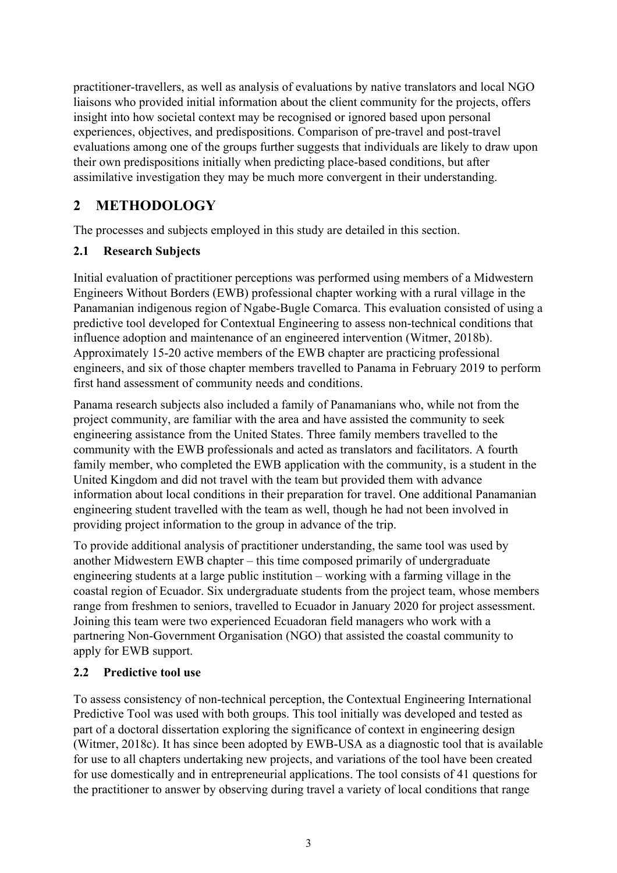practitioner-travellers, as well as analysis of evaluations by native translators and local NGO liaisons who provided initial information about the client community for the projects, offers insight into how societal context may be recognised or ignored based upon personal experiences, objectives, and predispositions. Comparison of pre-travel and post-travel evaluations among one of the groups further suggests that individuals are likely to draw upon their own predispositions initially when predicting place-based conditions, but after assimilative investigation they may be much more convergent in their understanding.

# **2 METHODOLOGY**

The processes and subjects employed in this study are detailed in this section.

## **2.1 Research Subjects**

Initial evaluation of practitioner perceptions was performed using members of a Midwestern Engineers Without Borders (EWB) professional chapter working with a rural village in the Panamanian indigenous region of Ngabe-Bugle Comarca. This evaluation consisted of using a predictive tool developed for Contextual Engineering to assess non-technical conditions that influence adoption and maintenance of an engineered intervention (Witmer, 2018b). Approximately 15-20 active members of the EWB chapter are practicing professional engineers, and six of those chapter members travelled to Panama in February 2019 to perform first hand assessment of community needs and conditions.

Panama research subjects also included a family of Panamanians who, while not from the project community, are familiar with the area and have assisted the community to seek engineering assistance from the United States. Three family members travelled to the community with the EWB professionals and acted as translators and facilitators. A fourth family member, who completed the EWB application with the community, is a student in the United Kingdom and did not travel with the team but provided them with advance information about local conditions in their preparation for travel. One additional Panamanian engineering student travelled with the team as well, though he had not been involved in providing project information to the group in advance of the trip.

To provide additional analysis of practitioner understanding, the same tool was used by another Midwestern EWB chapter – this time composed primarily of undergraduate engineering students at a large public institution – working with a farming village in the coastal region of Ecuador. Six undergraduate students from the project team, whose members range from freshmen to seniors, travelled to Ecuador in January 2020 for project assessment. Joining this team were two experienced Ecuadoran field managers who work with a partnering Non-Government Organisation (NGO) that assisted the coastal community to apply for EWB support.

### **2.2 Predictive tool use**

To assess consistency of non-technical perception, the Contextual Engineering International Predictive Tool was used with both groups. This tool initially was developed and tested as part of a doctoral dissertation exploring the significance of context in engineering design (Witmer, 2018c). It has since been adopted by EWB-USA as a diagnostic tool that is available for use to all chapters undertaking new projects, and variations of the tool have been created for use domestically and in entrepreneurial applications. The tool consists of 41 questions for the practitioner to answer by observing during travel a variety of local conditions that range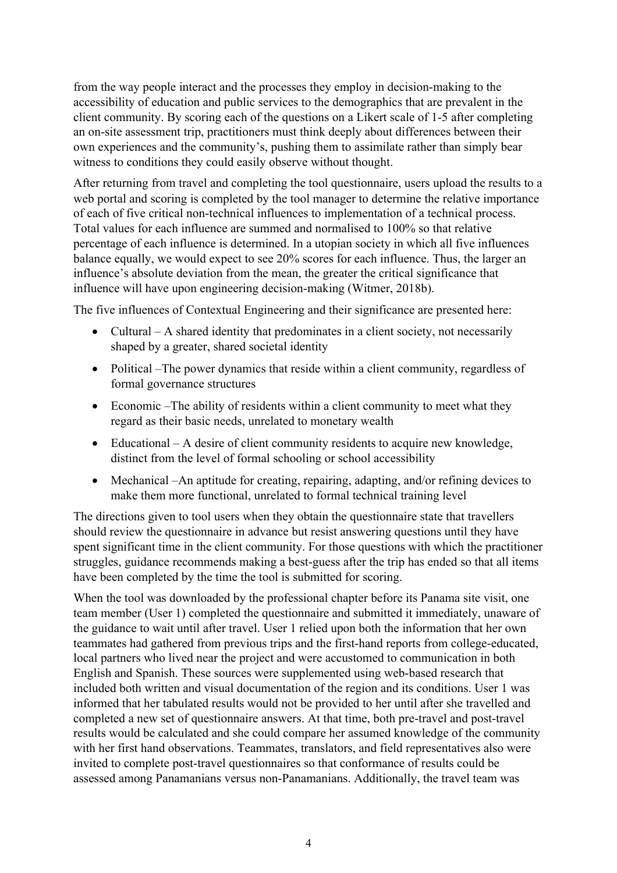from the way people interact and the processes they employ in decision-making to the accessibility of education and public services to the demographics that are prevalent in the client community. By scoring each of the questions on a Likert scale of 1-5 after completing an on-site assessment trip, practitioners must think deeply about differences between their own experiences and the community's, pushing them to assimilate rather than simply bear witness to conditions they could easily observe without thought.

After returning from travel and completing the tool questionnaire, users upload the results to a web portal and scoring is completed by the tool manager to determine the relative importance of each of five critical non-technical influences to implementation of a technical process. Total values for each influence are summed and normalised to 100% so that relative percentage of each influence is determined. In a utopian society in which all five influences balance equally, we would expect to see 20% scores for each influence. Thus, the larger an influence's absolute deviation from the mean, the greater the critical significance that influence will have upon engineering decision-making (Witmer, 2018b).

The five influences of Contextual Engineering and their significance are presented here:

- Cultural A shared identity that predominates in a client society, not necessarily shaped by a greater, shared societal identity
- Political –The power dynamics that reside within a client community, regardless of formal governance structures
- Economic –The ability of residents within a client community to meet what they regard as their basic needs, unrelated to monetary wealth
- Educational A desire of client community residents to acquire new knowledge, distinct from the level of formal schooling or school accessibility
- Mechanical –An aptitude for creating, repairing, adapting, and/or refining devices to make them more functional, unrelated to formal technical training level

The directions given to tool users when they obtain the questionnaire state that travellers should review the questionnaire in advance but resist answering questions until they have spent significant time in the client community. For those questions with which the practitioner struggles, guidance recommends making a best-guess after the trip has ended so that all items have been completed by the time the tool is submitted for scoring.

When the tool was downloaded by the professional chapter before its Panama site visit, one team member (User 1) completed the questionnaire and submitted it immediately, unaware of the guidance to wait until after travel. User 1 relied upon both the information that her own teammates had gathered from previous trips and the first-hand reports from college-educated, local partners who lived near the project and were accustomed to communication in both English and Spanish. These sources were supplemented using web-based research that included both written and visual documentation of the region and its conditions. User 1 was informed that her tabulated results would not be provided to her until after she travelled and completed a new set of questionnaire answers. At that time, both pre-travel and post-travel results would be calculated and she could compare her assumed knowledge of the community with her first hand observations. Teammates, translators, and field representatives also were invited to complete post-travel questionnaires so that conformance of results could be assessed among Panamanians versus non-Panamanians. Additionally, the travel team was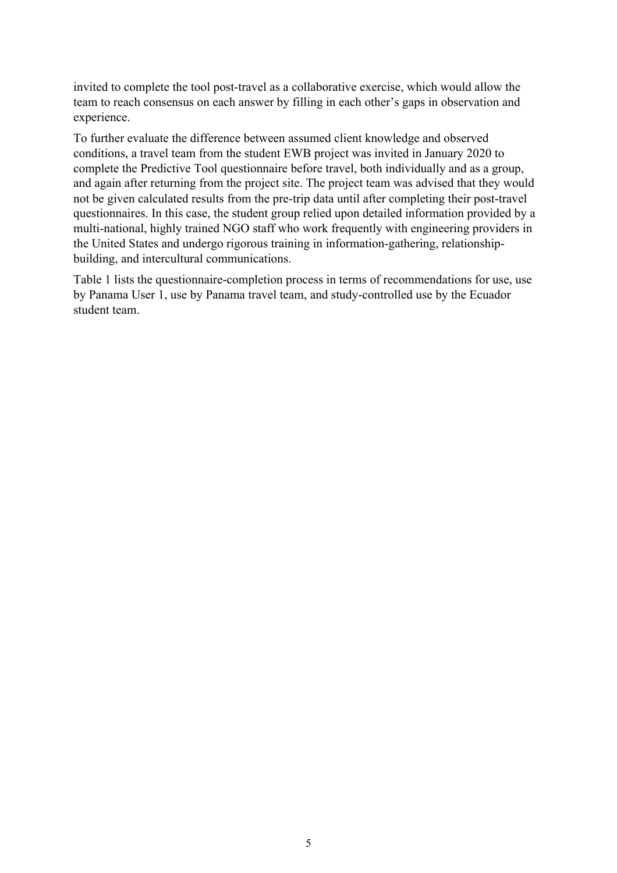invited to complete the tool post-travel as a collaborative exercise, which would allow the team to reach consensus on each answer by filling in each other's gaps in observation and experience.

To further evaluate the difference between assumed client knowledge and observed conditions, a travel team from the student EWB project was invited in January 2020 to complete the Predictive Tool questionnaire before travel, both individually and as a group, and again after returning from the project site. The project team was advised that they would not be given calculated results from the pre-trip data until after completing their post-travel questionnaires. In this case, the student group relied upon detailed information provided by a multi-national, highly trained NGO staff who work frequently with engineering providers in the United States and undergo rigorous training in information-gathering, relationshipbuilding, and intercultural communications.

Table 1 lists the questionnaire-completion process in terms of recommendations for use, use by Panama User 1, use by Panama travel team, and study-controlled use by the Ecuador student team.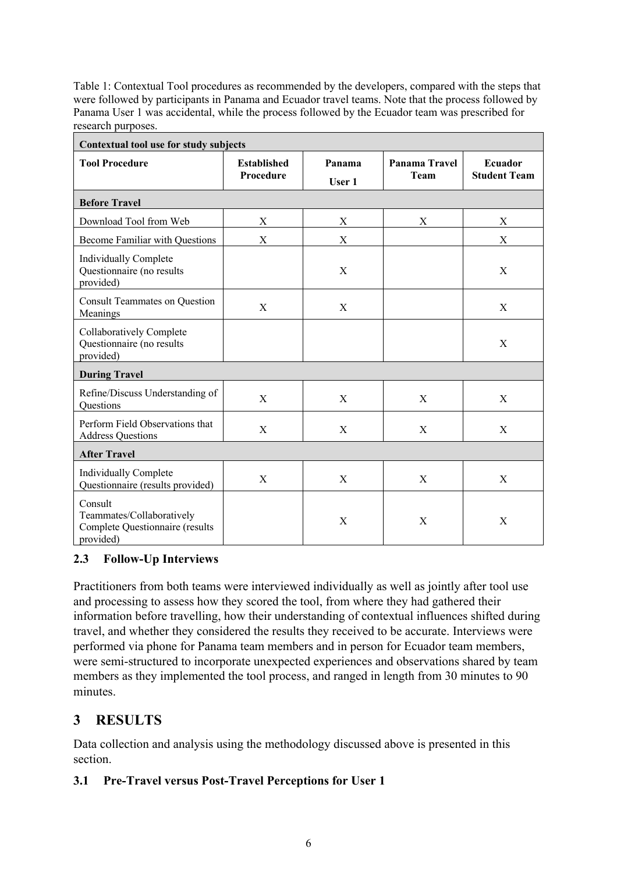Table 1: Contextual Tool procedures as recommended by the developers, compared with the steps that were followed by participants in Panama and Ecuador travel teams. Note that the process followed by Panama User 1 was accidental, while the process followed by the Ecuador team was prescribed for research purposes.

| Contextual tool use for study subjects                                               |                                 |                  |                       |                                |  |
|--------------------------------------------------------------------------------------|---------------------------------|------------------|-----------------------|--------------------------------|--|
| <b>Tool Procedure</b>                                                                | <b>Established</b><br>Procedure | Panama<br>User 1 | Panama Travel<br>Team | Ecuador<br><b>Student Team</b> |  |
| <b>Before Travel</b>                                                                 |                                 |                  |                       |                                |  |
| Download Tool from Web                                                               | X                               | X                | X                     | X                              |  |
| <b>Become Familiar with Questions</b>                                                | X                               | X                |                       | X                              |  |
| Individually Complete<br>Questionnaire (no results<br>provided)                      |                                 | X                |                       | X                              |  |
| <b>Consult Teammates on Question</b><br>Meanings                                     | X                               | X                |                       | X                              |  |
| Collaboratively Complete<br>Questionnaire (no results<br>provided)                   |                                 |                  |                       | X                              |  |
| <b>During Travel</b>                                                                 |                                 |                  |                       |                                |  |
| Refine/Discuss Understanding of<br>Questions                                         | X                               | X                | X                     | X                              |  |
| Perform Field Observations that<br><b>Address Questions</b>                          | $\boldsymbol{\mathrm{X}}$       | X                | $\mathbf X$           | X                              |  |
| <b>After Travel</b>                                                                  |                                 |                  |                       |                                |  |
| <b>Individually Complete</b><br>Questionnaire (results provided)                     | X                               | X                | X                     | X                              |  |
| Consult<br>Teammates/Collaboratively<br>Complete Questionnaire (results<br>provided) |                                 | X                | X                     | X                              |  |

### **2.3 Follow-Up Interviews**

Practitioners from both teams were interviewed individually as well as jointly after tool use and processing to assess how they scored the tool, from where they had gathered their information before travelling, how their understanding of contextual influences shifted during travel, and whether they considered the results they received to be accurate. Interviews were performed via phone for Panama team members and in person for Ecuador team members, were semi-structured to incorporate unexpected experiences and observations shared by team members as they implemented the tool process, and ranged in length from 30 minutes to 90 minutes.

# **3 RESULTS**

Data collection and analysis using the methodology discussed above is presented in this section.

### **3.1 Pre-Travel versus Post-Travel Perceptions for User 1**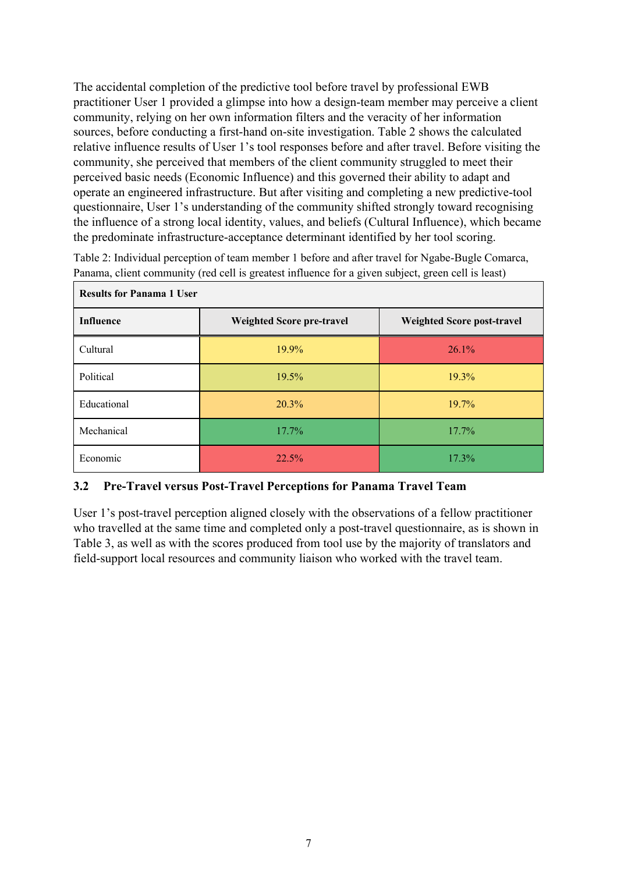The accidental completion of the predictive tool before travel by professional EWB practitioner User 1 provided a glimpse into how a design-team member may perceive a client community, relying on her own information filters and the veracity of her information sources, before conducting a first-hand on-site investigation. Table 2 shows the calculated relative influence results of User 1's tool responses before and after travel. Before visiting the community, she perceived that members of the client community struggled to meet their perceived basic needs (Economic Influence) and this governed their ability to adapt and operate an engineered infrastructure. But after visiting and completing a new predictive-tool questionnaire, User 1's understanding of the community shifted strongly toward recognising the influence of a strong local identity, values, and beliefs (Cultural Influence), which became the predominate infrastructure-acceptance determinant identified by her tool scoring.

Table 2: Individual perception of team member 1 before and after travel for Ngabe-Bugle Comarca, Panama, client community (red cell is greatest influence for a given subject, green cell is least)

| <b>Results for Panama 1 User</b> |                                  |                            |  |  |
|----------------------------------|----------------------------------|----------------------------|--|--|
| <b>Influence</b>                 | <b>Weighted Score pre-travel</b> | Weighted Score post-travel |  |  |
| Cultural                         | 19.9%                            | 26.1%                      |  |  |
| Political                        | 19.5%                            | 19.3%                      |  |  |
| Educational                      | 20.3%                            | 19.7%                      |  |  |
| Mechanical                       | 17.7%                            | $17.7\%$                   |  |  |
| Economic                         | 22.5%                            | 17.3%                      |  |  |

#### **3.2 Pre-Travel versus Post-Travel Perceptions for Panama Travel Team**

User 1's post-travel perception aligned closely with the observations of a fellow practitioner who travelled at the same time and completed only a post-travel questionnaire, as is shown in Table 3, as well as with the scores produced from tool use by the majority of translators and field-support local resources and community liaison who worked with the travel team.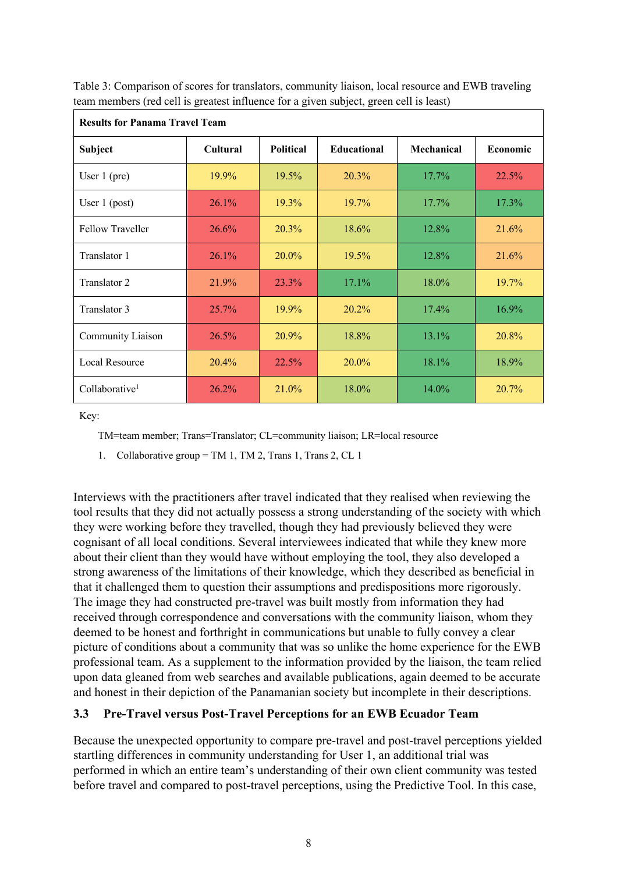| <b>Results for Panama Travel Team</b> |          |                  |                    |            |          |
|---------------------------------------|----------|------------------|--------------------|------------|----------|
| <b>Subject</b>                        | Cultural | <b>Political</b> | <b>Educational</b> | Mechanical | Economic |
| User $1$ (pre)                        | 19.9%    | 19.5%            | 20.3%              | 17.7%      | 22.5%    |
| User $1$ (post)                       | 26.1%    | 19.3%            | 19.7%              | 17.7%      | 17.3%    |
| <b>Fellow Traveller</b>               | 26.6%    | 20.3%            | $18.6\%$           | 12.8%      | 21.6%    |
| Translator 1                          | 26.1%    | 20.0%            | $19.5\%$           | 12.8%      | 21.6%    |
| Translator 2                          | 21.9%    | 23.3%            | $17.1\%$           | 18.0%      | 19.7%    |
| Translator 3                          | 25.7%    | 19.9%            | $20.2\%$           | $17.4\%$   | 16.9%    |
| Community Liaison                     | 26.5%    | 20.9%            | 18.8%              | 13.1%      | 20.8%    |
| Local Resource                        | 20.4%    | 22.5%            | 20.0%              | 18.1%      | 18.9%    |
| Collaborative <sup>1</sup>            | 26.2%    | 21.0%            | 18.0%              | 14.0%      | 20.7%    |

Table 3: Comparison of scores for translators, community liaison, local resource and EWB traveling team members (red cell is greatest influence for a given subject, green cell is least)

Key:

TM=team member; Trans=Translator; CL=community liaison; LR=local resource

1. Collaborative group = TM 1, TM 2, Trans 1, Trans 2, CL 1

Interviews with the practitioners after travel indicated that they realised when reviewing the tool results that they did not actually possess a strong understanding of the society with which they were working before they travelled, though they had previously believed they were cognisant of all local conditions. Several interviewees indicated that while they knew more about their client than they would have without employing the tool, they also developed a strong awareness of the limitations of their knowledge, which they described as beneficial in that it challenged them to question their assumptions and predispositions more rigorously. The image they had constructed pre-travel was built mostly from information they had received through correspondence and conversations with the community liaison, whom they deemed to be honest and forthright in communications but unable to fully convey a clear picture of conditions about a community that was so unlike the home experience for the EWB professional team. As a supplement to the information provided by the liaison, the team relied upon data gleaned from web searches and available publications, again deemed to be accurate and honest in their depiction of the Panamanian society but incomplete in their descriptions.

#### **3.3 Pre-Travel versus Post-Travel Perceptions for an EWB Ecuador Team**

Because the unexpected opportunity to compare pre-travel and post-travel perceptions yielded startling differences in community understanding for User 1, an additional trial was performed in which an entire team's understanding of their own client community was tested before travel and compared to post-travel perceptions, using the Predictive Tool. In this case,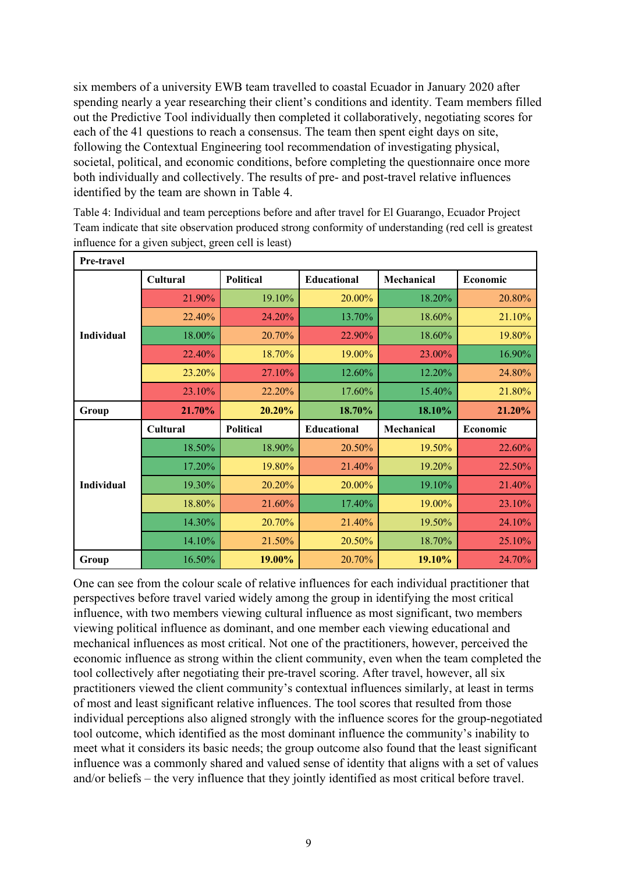six members of a university EWB team travelled to coastal Ecuador in January 2020 after spending nearly a year researching their client's conditions and identity. Team members filled out the Predictive Tool individually then completed it collaboratively, negotiating scores for each of the 41 questions to reach a consensus. The team then spent eight days on site, following the Contextual Engineering tool recommendation of investigating physical, societal, political, and economic conditions, before completing the questionnaire once more both individually and collectively. The results of pre- and post-travel relative influences identified by the team are shown in Table 4.

| Pre-travel | $m_{\rm H}$ and $n_{\rm H}$ and $n_{\rm H}$ and $n_{\rm H}$ are $n_{\rm H}$ and $n_{\rm H}$ and $n_{\rm H}$ |           |             |            |          |
|------------|-------------------------------------------------------------------------------------------------------------|-----------|-------------|------------|----------|
| Individual | <b>Political</b><br>Cultural                                                                                |           | Educational | Mechanical | Economic |
|            | 21.90%                                                                                                      | 19.10%    | 20.00%      | 18.20%     | 20.80%   |
|            | 22.40%                                                                                                      | 24.20%    | 13.70%      | 18.60%     | 21.10%   |
|            | 18.00%                                                                                                      | 20.70%    | 22.90%      | 18.60%     | 19.80%   |
|            | 22.40%                                                                                                      | 18.70%    | 19.00%      | 23.00%     | 16.90%   |
|            | 23.20%                                                                                                      | 27.10%    | 12.60%      | 12.20%     | 24.80%   |
|            | 23.10%                                                                                                      | 22.20%    | 17.60%      | 15.40%     | 21.80%   |
| Group      | 21.70%                                                                                                      | 20.20%    | 18.70%      | 18.10%     | 21.20%   |
|            | Cultural                                                                                                    | Political | Educational | Mechanical | Economic |
|            | 18.50%                                                                                                      | 18.90%    | 20.50%      | 19.50%     | 22.60%   |
|            | 17.20%                                                                                                      | 19.80%    | 21.40%      | 19.20%     | 22.50%   |
| Individual |                                                                                                             |           |             |            |          |
|            | 19.30%                                                                                                      | 20.20%    | 20.00%      | 19.10%     | 21.40%   |
|            | 18.80%                                                                                                      | 21.60%    | 17.40%      | 19.00%     | 23.10%   |
|            | 14.30%                                                                                                      | 20.70%    | 21.40%      | 19.50%     | 24.10%   |
|            | 14.10%                                                                                                      | 21.50%    | 20.50%      | 18.70%     | 25.10%   |

Table 4: Individual and team perceptions before and after travel for El Guarango, Ecuador Project Team indicate that site observation produced strong conformity of understanding (red cell is greatest influence for a given subject, green cell is least)

One can see from the colour scale of relative influences for each individual practitioner that perspectives before travel varied widely among the group in identifying the most critical influence, with two members viewing cultural influence as most significant, two members viewing political influence as dominant, and one member each viewing educational and mechanical influences as most critical. Not one of the practitioners, however, perceived the economic influence as strong within the client community, even when the team completed the tool collectively after negotiating their pre-travel scoring. After travel, however, all six practitioners viewed the client community's contextual influences similarly, at least in terms of most and least significant relative influences. The tool scores that resulted from those individual perceptions also aligned strongly with the influence scores for the group-negotiated tool outcome, which identified as the most dominant influence the community's inability to meet what it considers its basic needs; the group outcome also found that the least significant influence was a commonly shared and valued sense of identity that aligns with a set of values and/or beliefs – the very influence that they jointly identified as most critical before travel.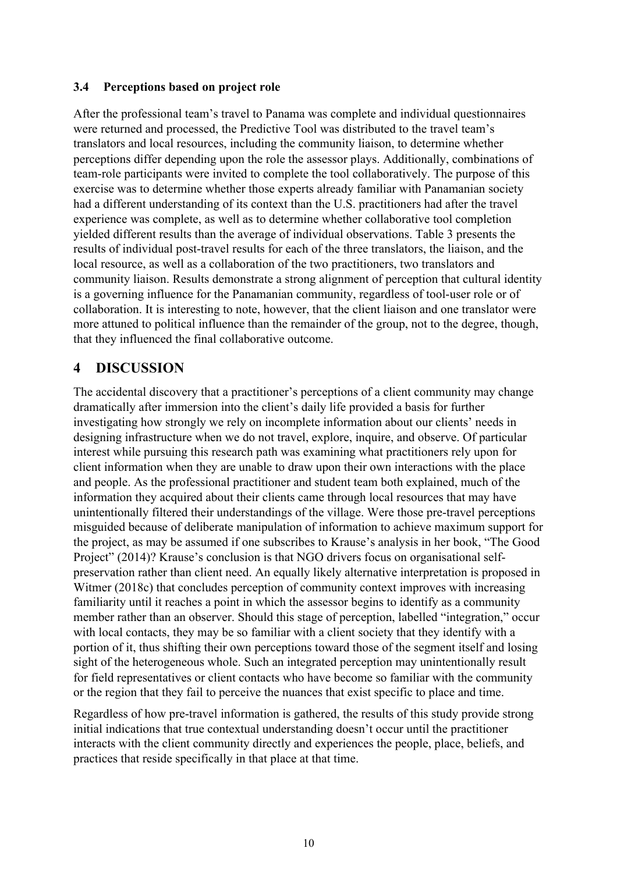#### **3.4 Perceptions based on project role**

After the professional team's travel to Panama was complete and individual questionnaires were returned and processed, the Predictive Tool was distributed to the travel team's translators and local resources, including the community liaison, to determine whether perceptions differ depending upon the role the assessor plays. Additionally, combinations of team-role participants were invited to complete the tool collaboratively. The purpose of this exercise was to determine whether those experts already familiar with Panamanian society had a different understanding of its context than the U.S. practitioners had after the travel experience was complete, as well as to determine whether collaborative tool completion yielded different results than the average of individual observations. Table 3 presents the results of individual post-travel results for each of the three translators, the liaison, and the local resource, as well as a collaboration of the two practitioners, two translators and community liaison. Results demonstrate a strong alignment of perception that cultural identity is a governing influence for the Panamanian community, regardless of tool-user role or of collaboration. It is interesting to note, however, that the client liaison and one translator were more attuned to political influence than the remainder of the group, not to the degree, though, that they influenced the final collaborative outcome.

## **4 DISCUSSION**

The accidental discovery that a practitioner's perceptions of a client community may change dramatically after immersion into the client's daily life provided a basis for further investigating how strongly we rely on incomplete information about our clients' needs in designing infrastructure when we do not travel, explore, inquire, and observe. Of particular interest while pursuing this research path was examining what practitioners rely upon for client information when they are unable to draw upon their own interactions with the place and people. As the professional practitioner and student team both explained, much of the information they acquired about their clients came through local resources that may have unintentionally filtered their understandings of the village. Were those pre-travel perceptions misguided because of deliberate manipulation of information to achieve maximum support for the project, as may be assumed if one subscribes to Krause's analysis in her book, "The Good Project" (2014)? Krause's conclusion is that NGO drivers focus on organisational selfpreservation rather than client need. An equally likely alternative interpretation is proposed in Witmer (2018c) that concludes perception of community context improves with increasing familiarity until it reaches a point in which the assessor begins to identify as a community member rather than an observer. Should this stage of perception, labelled "integration," occur with local contacts, they may be so familiar with a client society that they identify with a portion of it, thus shifting their own perceptions toward those of the segment itself and losing sight of the heterogeneous whole. Such an integrated perception may unintentionally result for field representatives or client contacts who have become so familiar with the community or the region that they fail to perceive the nuances that exist specific to place and time.

Regardless of how pre-travel information is gathered, the results of this study provide strong initial indications that true contextual understanding doesn't occur until the practitioner interacts with the client community directly and experiences the people, place, beliefs, and practices that reside specifically in that place at that time.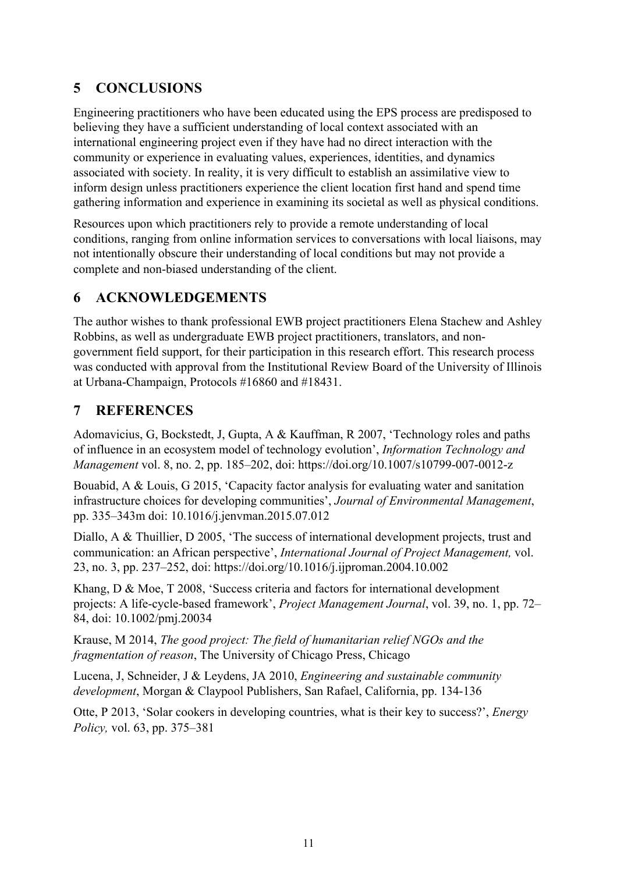# **5 CONCLUSIONS**

Engineering practitioners who have been educated using the EPS process are predisposed to believing they have a sufficient understanding of local context associated with an international engineering project even if they have had no direct interaction with the community or experience in evaluating values, experiences, identities, and dynamics associated with society. In reality, it is very difficult to establish an assimilative view to inform design unless practitioners experience the client location first hand and spend time gathering information and experience in examining its societal as well as physical conditions.

Resources upon which practitioners rely to provide a remote understanding of local conditions, ranging from online information services to conversations with local liaisons, may not intentionally obscure their understanding of local conditions but may not provide a complete and non-biased understanding of the client.

# **6 ACKNOWLEDGEMENTS**

The author wishes to thank professional EWB project practitioners Elena Stachew and Ashley Robbins, as well as undergraduate EWB project practitioners, translators, and nongovernment field support, for their participation in this research effort. This research process was conducted with approval from the Institutional Review Board of the University of Illinois at Urbana-Champaign, Protocols #16860 and #18431.

## **7 REFERENCES**

Adomavicius, G, Bockstedt, J, Gupta, A & Kauffman, R 2007, 'Technology roles and paths of influence in an ecosystem model of technology evolution', *Information Technology and Management* vol. 8, no. 2, pp. 185–202, doi: https://doi.org/10.1007/s10799-007-0012-z

Bouabid, A & Louis, G 2015, 'Capacity factor analysis for evaluating water and sanitation infrastructure choices for developing communities', *Journal of Environmental Management*, pp. 335–343m doi: 10.1016/j.jenvman.2015.07.012

Diallo, A & Thuillier, D 2005, 'The success of international development projects, trust and communication: an African perspective', *International Journal of Project Management,* vol. 23, no. 3, pp. 237–252, doi: https://doi.org/10.1016/j.ijproman.2004.10.002

Khang, D & Moe, T 2008, 'Success criteria and factors for international development projects: A life-cycle-based framework', *Project Management Journal*, vol. 39, no. 1, pp. 72– 84, doi: 10.1002/pmj.20034

Krause, M 2014, *The good project: The field of humanitarian relief NGOs and the fragmentation of reason*, The University of Chicago Press, Chicago

Lucena, J, Schneider, J & Leydens, JA 2010, *Engineering and sustainable community development*, Morgan & Claypool Publishers, San Rafael, California, pp. 134-136

Otte, P 2013, 'Solar cookers in developing countries, what is their key to success?', *Energy Policy,* vol. 63, pp. 375–381